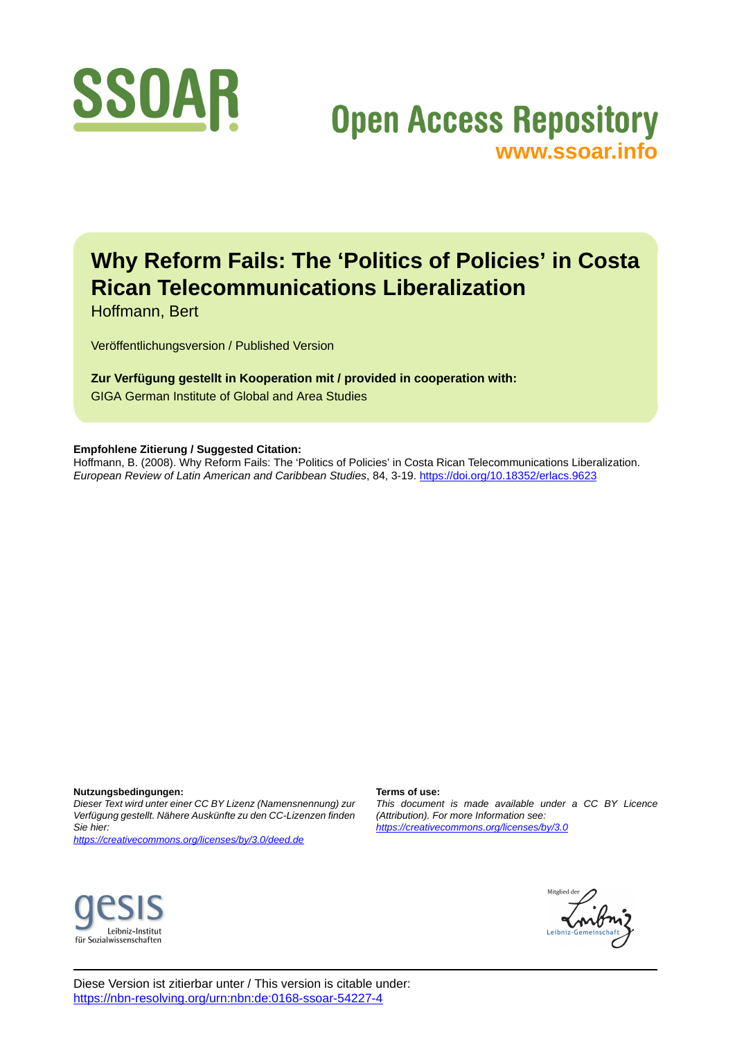

# **Open Access Repository [www.ssoar.info](http://www.ssoar.info)**

### **Why Reform Fails: The 'Politics of Policies' in Costa Rican Telecommunications Liberalization**

Hoffmann, Bert

Veröffentlichungsversion / Published Version

**Zur Verfügung gestellt in Kooperation mit / provided in cooperation with:** GIGA German Institute of Global and Area Studies

#### **Empfohlene Zitierung / Suggested Citation:**

Hoffmann, B. (2008). Why Reform Fails: The 'Politics of Policies' in Costa Rican Telecommunications Liberalization. *European Review of Latin American and Caribbean Studies*, 84, 3-19. <https://doi.org/10.18352/erlacs.9623>

**Nutzungsbedingungen:**

*Dieser Text wird unter einer CC BY Lizenz (Namensnennung) zur Verfügung gestellt. Nähere Auskünfte zu den CC-Lizenzen finden Sie hier:*

*<https://creativecommons.org/licenses/by/3.0/deed.de>*

## Leibniz-Institut für Sozialwissenschaften

#### **Terms of use:**

*This document is made available under a CC BY Licence (Attribution). For more Information see: <https://creativecommons.org/licenses/by/3.0>*



Diese Version ist zitierbar unter / This version is citable under: <https://nbn-resolving.org/urn:nbn:de:0168-ssoar-54227-4>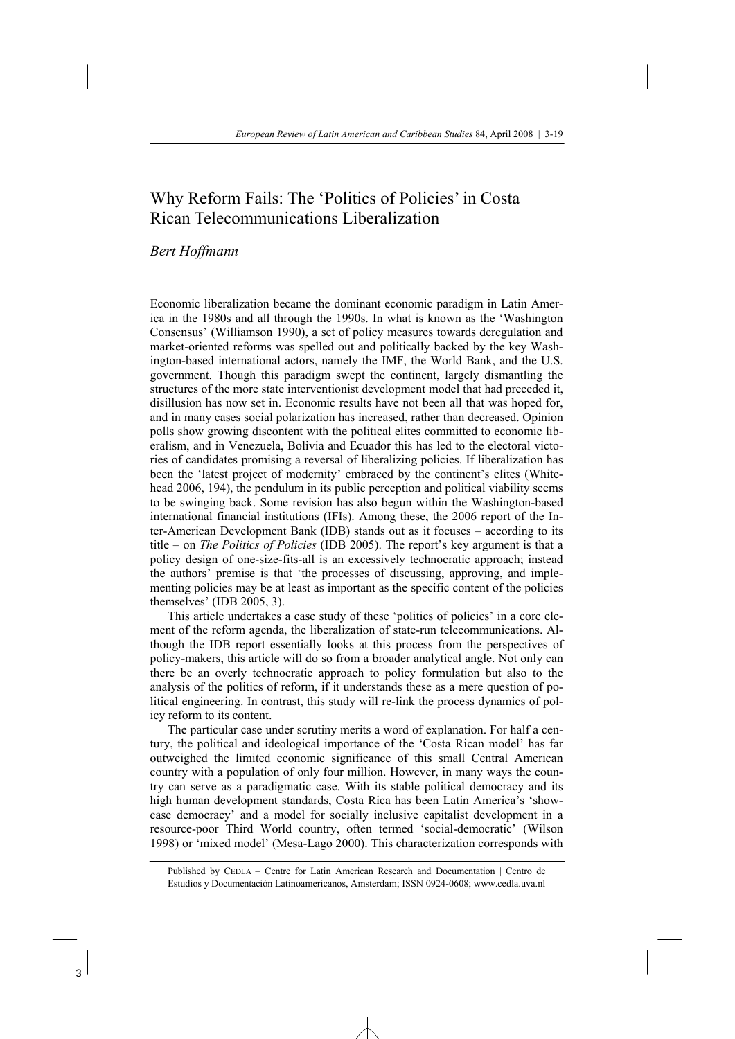### Why Reform Fails: The 'Politics of Policies' in Costa Rican Telecommunications Liberalization

### *Bert Hoffmann*

Economic liberalization became the dominant economic paradigm in Latin America in the 1980s and all through the 1990s. In what is known as the 'Washington Consensus' (Williamson 1990), a set of policy measures towards deregulation and market-oriented reforms was spelled out and politically backed by the key Washington-based international actors, namely the IMF, the World Bank, and the U.S. government. Though this paradigm swept the continent, largely dismantling the structures of the more state interventionist development model that had preceded it, disillusion has now set in. Economic results have not been all that was hoped for, and in many cases social polarization has increased, rather than decreased. Opinion polls show growing discontent with the political elites committed to economic liberalism, and in Venezuela, Bolivia and Ecuador this has led to the electoral victories of candidates promising a reversal of liberalizing policies. If liberalization has been the 'latest project of modernity' embraced by the continent's elites (Whitehead 2006, 194), the pendulum in its public perception and political viability seems to be swinging back. Some revision has also begun within the Washington-based international financial institutions (IFIs). Among these, the 2006 report of the Inter-American Development Bank (IDB) stands out as it focuses – according to its title – on *The Politics of Policies* (IDB 2005). The report's key argument is that a policy design of one-size-fits-all is an excessively technocratic approach; instead the authors' premise is that 'the processes of discussing, approving, and implementing policies may be at least as important as the specific content of the policies themselves' (IDB 2005, 3).

 This article undertakes a case study of these 'politics of policies' in a core element of the reform agenda, the liberalization of state-run telecommunications. Although the IDB report essentially looks at this process from the perspectives of policy-makers, this article will do so from a broader analytical angle. Not only can there be an overly technocratic approach to policy formulation but also to the analysis of the politics of reform, if it understands these as a mere question of political engineering. In contrast, this study will re-link the process dynamics of policy reform to its content.

 The particular case under scrutiny merits a word of explanation. For half a century, the political and ideological importance of the 'Costa Rican model' has far outweighed the limited economic significance of this small Central American country with a population of only four million. However, in many ways the country can serve as a paradigmatic case. With its stable political democracy and its high human development standards, Costa Rica has been Latin America's 'showcase democracy' and a model for socially inclusive capitalist development in a resource-poor Third World country, often termed 'social-democratic' (Wilson 1998) or 'mixed model' (Mesa-Lago 2000). This characterization corresponds with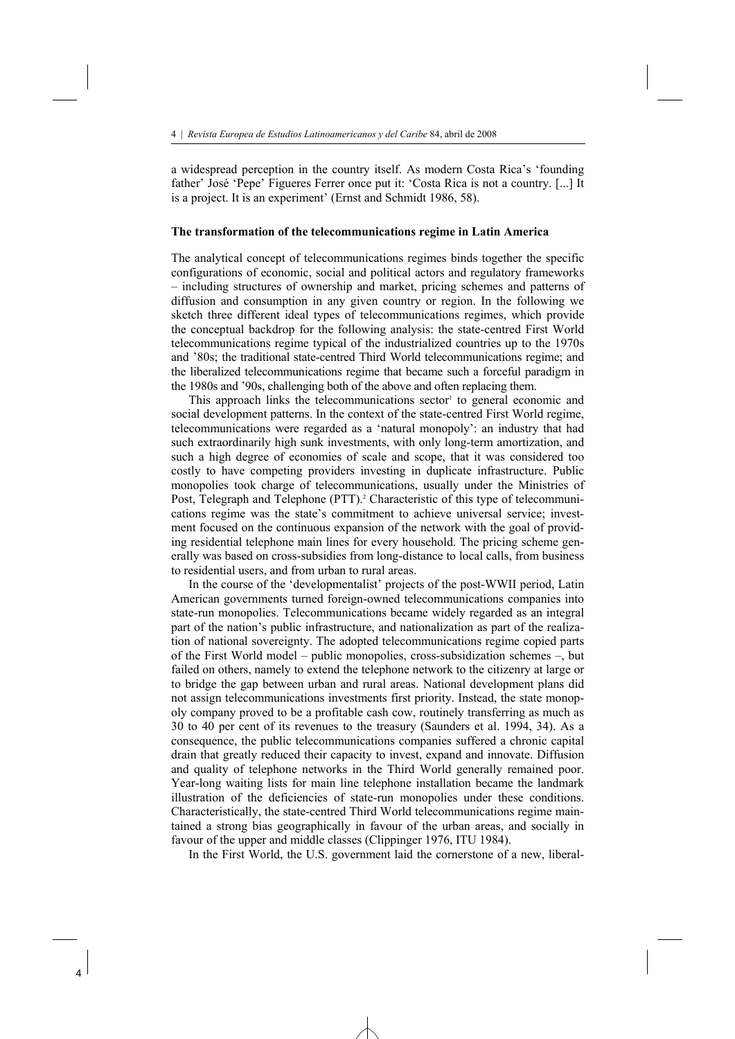a widespread perception in the country itself. As modern Costa Rica's 'founding father' José 'Pepe' Figueres Ferrer once put it: 'Costa Rica is not a country. [...] It is a project. It is an experiment' (Ernst and Schmidt 1986, 58).

#### **The transformation of the telecommunications regime in Latin America**

The analytical concept of telecommunications regimes binds together the specific configurations of economic, social and political actors and regulatory frameworks – including structures of ownership and market, pricing schemes and patterns of diffusion and consumption in any given country or region. In the following we sketch three different ideal types of telecommunications regimes, which provide the conceptual backdrop for the following analysis: the state-centred First World telecommunications regime typical of the industrialized countries up to the 1970s and '80s; the traditional state-centred Third World telecommunications regime; and the liberalized telecommunications regime that became such a forceful paradigm in the 1980s and '90s, challenging both of the above and often replacing them.

This approach links the telecommunications sector to general economic and social development patterns. In the context of the state-centred First World regime, telecommunications were regarded as a 'natural monopoly': an industry that had such extraordinarily high sunk investments, with only long-term amortization, and such a high degree of economies of scale and scope, that it was considered too costly to have competing providers investing in duplicate infrastructure. Public monopolies took charge of telecommunications, usually under the Ministries of Post, Telegraph and Telephone (PTT).<sup>2</sup> Characteristic of this type of telecommunications regime was the state's commitment to achieve universal service; investment focused on the continuous expansion of the network with the goal of providing residential telephone main lines for every household. The pricing scheme generally was based on cross-subsidies from long-distance to local calls, from business to residential users, and from urban to rural areas.

 In the course of the 'developmentalist' projects of the post-WWII period, Latin American governments turned foreign-owned telecommunications companies into state-run monopolies. Telecommunications became widely regarded as an integral part of the nation's public infrastructure, and nationalization as part of the realization of national sovereignty. The adopted telecommunications regime copied parts of the First World model – public monopolies, cross-subsidization schemes –, but failed on others, namely to extend the telephone network to the citizenry at large or to bridge the gap between urban and rural areas. National development plans did not assign telecommunications investments first priority. Instead, the state monopoly company proved to be a profitable cash cow, routinely transferring as much as 30 to 40 per cent of its revenues to the treasury (Saunders et al. 1994, 34). As a consequence, the public telecommunications companies suffered a chronic capital drain that greatly reduced their capacity to invest, expand and innovate. Diffusion and quality of telephone networks in the Third World generally remained poor. Year-long waiting lists for main line telephone installation became the landmark illustration of the deficiencies of state-run monopolies under these conditions. Characteristically, the state-centred Third World telecommunications regime maintained a strong bias geographically in favour of the urban areas, and socially in favour of the upper and middle classes (Clippinger 1976, ITU 1984).

In the First World, the U.S. government laid the cornerstone of a new, liberal-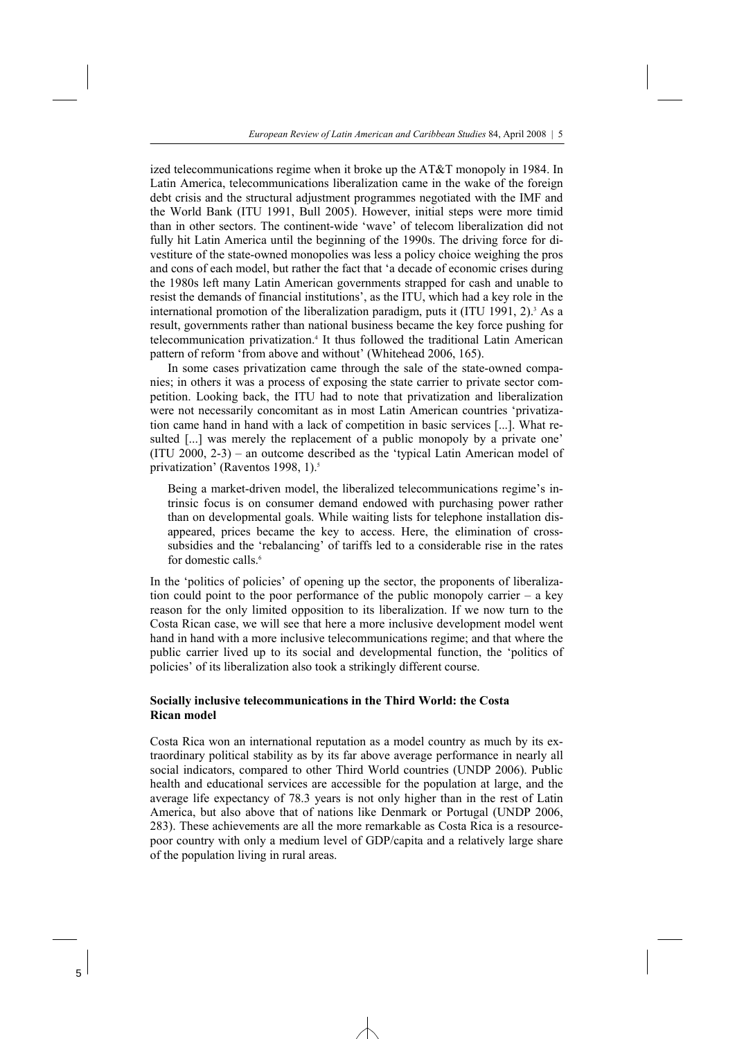ized telecommunications regime when it broke up the AT&T monopoly in 1984. In Latin America, telecommunications liberalization came in the wake of the foreign debt crisis and the structural adjustment programmes negotiated with the IMF and the World Bank (ITU 1991, Bull 2005). However, initial steps were more timid than in other sectors. The continent-wide 'wave' of telecom liberalization did not fully hit Latin America until the beginning of the 1990s. The driving force for divestiture of the state-owned monopolies was less a policy choice weighing the pros and cons of each model, but rather the fact that 'a decade of economic crises during the 1980s left many Latin American governments strapped for cash and unable to resist the demands of financial institutions', as the ITU, which had a key role in the international promotion of the liberalization paradigm, puts it  $(ITU 1991, 2)$ .<sup>3</sup> As a result, governments rather than national business became the key force pushing for telecommunication privatization.4 It thus followed the traditional Latin American pattern of reform 'from above and without' (Whitehead 2006, 165).

 In some cases privatization came through the sale of the state-owned companies; in others it was a process of exposing the state carrier to private sector competition. Looking back, the ITU had to note that privatization and liberalization were not necessarily concomitant as in most Latin American countries 'privatization came hand in hand with a lack of competition in basic services [...]. What resulted [...] was merely the replacement of a public monopoly by a private one' (ITU 2000, 2-3) – an outcome described as the 'typical Latin American model of privatization' (Raventos 1998, 1).<sup>5</sup>

Being a market-driven model, the liberalized telecommunications regime's intrinsic focus is on consumer demand endowed with purchasing power rather than on developmental goals. While waiting lists for telephone installation disappeared, prices became the key to access. Here, the elimination of crosssubsidies and the 'rebalancing' of tariffs led to a considerable rise in the rates for domestic calls.<sup>6</sup>

In the 'politics of policies' of opening up the sector, the proponents of liberalization could point to the poor performance of the public monopoly carrier  $-$  a key reason for the only limited opposition to its liberalization. If we now turn to the Costa Rican case, we will see that here a more inclusive development model went hand in hand with a more inclusive telecommunications regime; and that where the public carrier lived up to its social and developmental function, the 'politics of policies' of its liberalization also took a strikingly different course.

#### **Socially inclusive telecommunications in the Third World: the Costa Rican model**

Costa Rica won an international reputation as a model country as much by its extraordinary political stability as by its far above average performance in nearly all social indicators, compared to other Third World countries (UNDP 2006). Public health and educational services are accessible for the population at large, and the average life expectancy of 78.3 years is not only higher than in the rest of Latin America, but also above that of nations like Denmark or Portugal (UNDP 2006, 283). These achievements are all the more remarkable as Costa Rica is a resourcepoor country with only a medium level of GDP/capita and a relatively large share of the population living in rural areas.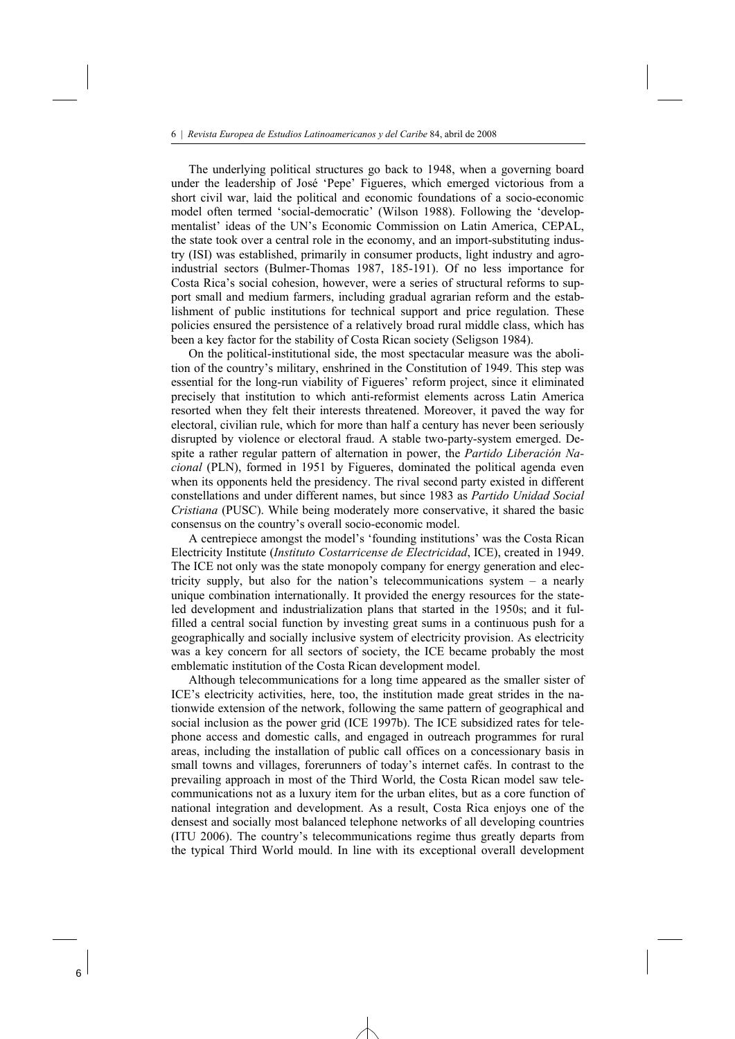The underlying political structures go back to 1948, when a governing board under the leadership of José 'Pepe' Figueres, which emerged victorious from a short civil war, laid the political and economic foundations of a socio-economic model often termed 'social-democratic' (Wilson 1988). Following the 'developmentalist' ideas of the UN's Economic Commission on Latin America, CEPAL, the state took over a central role in the economy, and an import-substituting industry (ISI) was established, primarily in consumer products, light industry and agroindustrial sectors (Bulmer-Thomas 1987, 185-191). Of no less importance for Costa Rica's social cohesion, however, were a series of structural reforms to support small and medium farmers, including gradual agrarian reform and the establishment of public institutions for technical support and price regulation. These policies ensured the persistence of a relatively broad rural middle class, which has been a key factor for the stability of Costa Rican society (Seligson 1984).

 On the political-institutional side, the most spectacular measure was the abolition of the country's military, enshrined in the Constitution of 1949. This step was essential for the long-run viability of Figueres' reform project, since it eliminated precisely that institution to which anti-reformist elements across Latin America resorted when they felt their interests threatened. Moreover, it paved the way for electoral, civilian rule, which for more than half a century has never been seriously disrupted by violence or electoral fraud. A stable two-party-system emerged. Despite a rather regular pattern of alternation in power, the *Partido Liberación Nacional* (PLN), formed in 1951 by Figueres, dominated the political agenda even when its opponents held the presidency. The rival second party existed in different constellations and under different names, but since 1983 as *Partido Unidad Social Cristiana* (PUSC). While being moderately more conservative, it shared the basic consensus on the country's overall socio-economic model.

 A centrepiece amongst the model's 'founding institutions' was the Costa Rican Electricity Institute (*Instituto Costarricense de Electricidad*, ICE), created in 1949. The ICE not only was the state monopoly company for energy generation and electricity supply, but also for the nation's telecommunications system – a nearly unique combination internationally. It provided the energy resources for the stateled development and industrialization plans that started in the 1950s; and it fulfilled a central social function by investing great sums in a continuous push for a geographically and socially inclusive system of electricity provision. As electricity was a key concern for all sectors of society, the ICE became probably the most emblematic institution of the Costa Rican development model.

 Although telecommunications for a long time appeared as the smaller sister of ICE's electricity activities, here, too, the institution made great strides in the nationwide extension of the network, following the same pattern of geographical and social inclusion as the power grid (ICE 1997b). The ICE subsidized rates for telephone access and domestic calls, and engaged in outreach programmes for rural areas, including the installation of public call offices on a concessionary basis in small towns and villages, forerunners of today's internet cafés. In contrast to the prevailing approach in most of the Third World, the Costa Rican model saw telecommunications not as a luxury item for the urban elites, but as a core function of national integration and development. As a result, Costa Rica enjoys one of the densest and socially most balanced telephone networks of all developing countries (ITU 2006). The country's telecommunications regime thus greatly departs from the typical Third World mould. In line with its exceptional overall development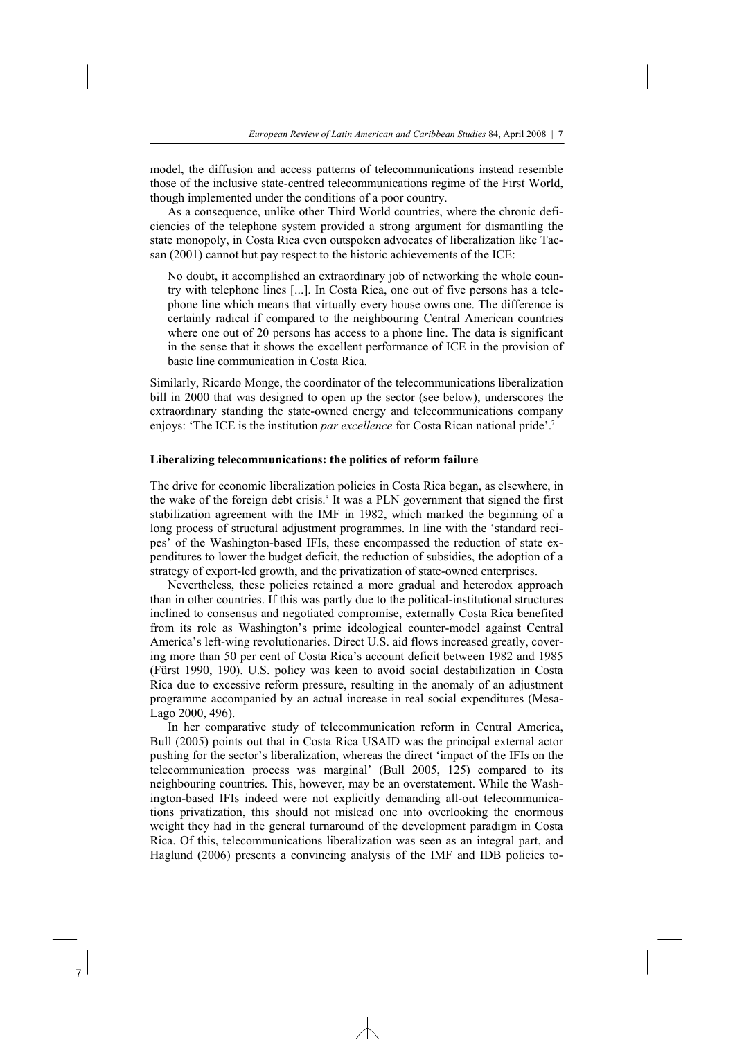model, the diffusion and access patterns of telecommunications instead resemble those of the inclusive state-centred telecommunications regime of the First World, though implemented under the conditions of a poor country.

 As a consequence, unlike other Third World countries, where the chronic deficiencies of the telephone system provided a strong argument for dismantling the state monopoly, in Costa Rica even outspoken advocates of liberalization like Tacsan (2001) cannot but pay respect to the historic achievements of the ICE:

No doubt, it accomplished an extraordinary job of networking the whole country with telephone lines [...]. In Costa Rica, one out of five persons has a telephone line which means that virtually every house owns one. The difference is certainly radical if compared to the neighbouring Central American countries where one out of 20 persons has access to a phone line. The data is significant in the sense that it shows the excellent performance of ICE in the provision of basic line communication in Costa Rica.

Similarly, Ricardo Monge, the coordinator of the telecommunications liberalization bill in 2000 that was designed to open up the sector (see below), underscores the extraordinary standing the state-owned energy and telecommunications company enjoys: 'The ICE is the institution *par excellence* for Costa Rican national pride'.7

#### **Liberalizing telecommunications: the politics of reform failure**

The drive for economic liberalization policies in Costa Rica began, as elsewhere, in the wake of the foreign debt crisis.<sup>8</sup> It was a PLN government that signed the first stabilization agreement with the IMF in 1982, which marked the beginning of a long process of structural adjustment programmes. In line with the 'standard recipes' of the Washington-based IFIs, these encompassed the reduction of state expenditures to lower the budget deficit, the reduction of subsidies, the adoption of a strategy of export-led growth, and the privatization of state-owned enterprises.

 Nevertheless, these policies retained a more gradual and heterodox approach than in other countries. If this was partly due to the political-institutional structures inclined to consensus and negotiated compromise, externally Costa Rica benefited from its role as Washington's prime ideological counter-model against Central America's left-wing revolutionaries. Direct U.S. aid flows increased greatly, covering more than 50 per cent of Costa Rica's account deficit between 1982 and 1985 (Fürst 1990, 190). U.S. policy was keen to avoid social destabilization in Costa Rica due to excessive reform pressure, resulting in the anomaly of an adjustment programme accompanied by an actual increase in real social expenditures (Mesa-Lago 2000, 496).

 In her comparative study of telecommunication reform in Central America, Bull (2005) points out that in Costa Rica USAID was the principal external actor pushing for the sector's liberalization, whereas the direct 'impact of the IFIs on the telecommunication process was marginal' (Bull 2005, 125) compared to its neighbouring countries. This, however, may be an overstatement. While the Washington-based IFIs indeed were not explicitly demanding all-out telecommunications privatization, this should not mislead one into overlooking the enormous weight they had in the general turnaround of the development paradigm in Costa Rica. Of this, telecommunications liberalization was seen as an integral part, and Haglund (2006) presents a convincing analysis of the IMF and IDB policies to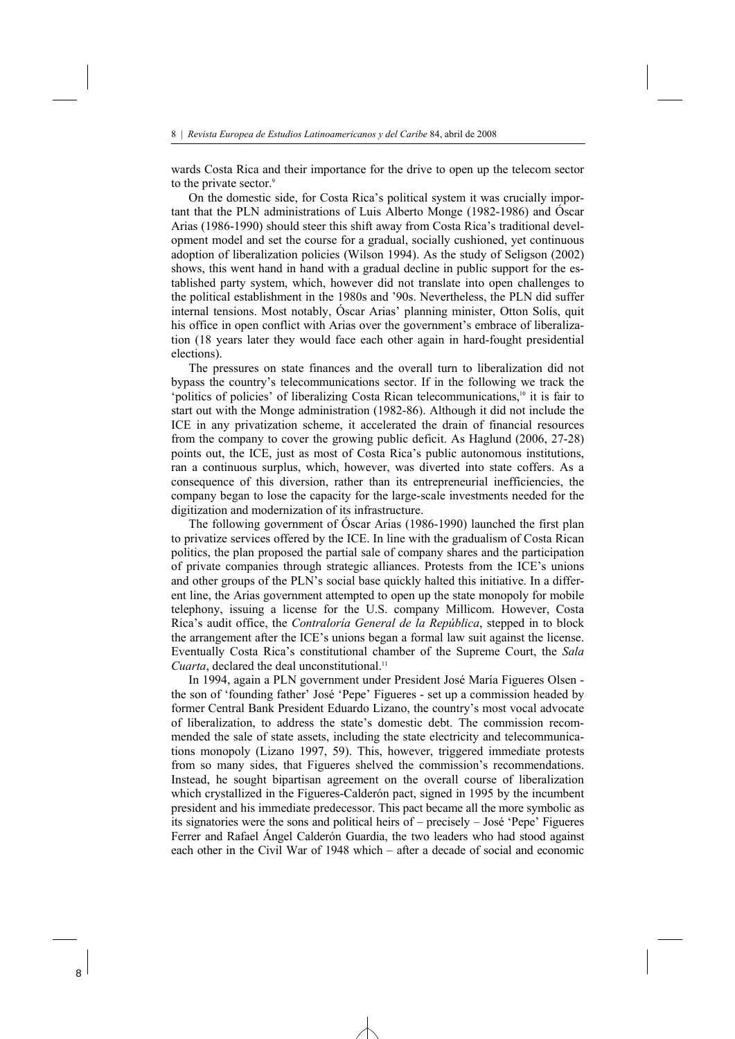wards Costa Rica and their importance for the drive to open up the telecom sector to the private sector.<sup>9</sup>

 On the domestic side, for Costa Rica's political system it was crucially important that the PLN administrations of Luis Alberto Monge (1982-1986) and Óscar Arias (1986-1990) should steer this shift away from Costa Rica's traditional development model and set the course for a gradual, socially cushioned, yet continuous adoption of liberalization policies (Wilson 1994). As the study of Seligson (2002) shows, this went hand in hand with a gradual decline in public support for the established party system, which, however did not translate into open challenges to the political establishment in the 1980s and '90s. Nevertheless, the PLN did suffer internal tensions. Most notably, Óscar Arias' planning minister, Otton Solís, quit his office in open conflict with Arias over the government's embrace of liberalization (18 years later they would face each other again in hard-fought presidential elections).

 The pressures on state finances and the overall turn to liberalization did not bypass the country's telecommunications sector. If in the following we track the 'politics of policies' of liberalizing Costa Rican telecommunications,10 it is fair to start out with the Monge administration (1982-86). Although it did not include the ICE in any privatization scheme, it accelerated the drain of financial resources from the company to cover the growing public deficit. As Haglund (2006, 27-28) points out, the ICE, just as most of Costa Rica's public autonomous institutions, ran a continuous surplus, which, however, was diverted into state coffers. As a consequence of this diversion, rather than its entrepreneurial inefficiencies, the company began to lose the capacity for the large-scale investments needed for the digitization and modernization of its infrastructure.

 The following government of Óscar Arias (1986-1990) launched the first plan to privatize services offered by the ICE. In line with the gradualism of Costa Rican politics, the plan proposed the partial sale of company shares and the participation of private companies through strategic alliances. Protests from the ICE's unions and other groups of the PLN's social base quickly halted this initiative. In a different line, the Arias government attempted to open up the state monopoly for mobile telephony, issuing a license for the U.S. company Millicom. However, Costa Rica's audit office, the *Contraloría General de la República*, stepped in to block the arrangement after the ICE's unions began a formal law suit against the license. Eventually Costa Rica's constitutional chamber of the Supreme Court, the *Sala Cuarta*, declared the deal unconstitutional.<sup>11</sup>

 In 1994, again a PLN government under President José María Figueres Olsen the son of 'founding father' José 'Pepe' Figueres - set up a commission headed by former Central Bank President Eduardo Lizano, the country's most vocal advocate of liberalization, to address the state's domestic debt. The commission recommended the sale of state assets, including the state electricity and telecommunications monopoly (Lizano 1997, 59). This, however, triggered immediate protests from so many sides, that Figueres shelved the commission's recommendations. Instead, he sought bipartisan agreement on the overall course of liberalization which crystallized in the Figueres-Calderón pact, signed in 1995 by the incumbent president and his immediate predecessor. This pact became all the more symbolic as its signatories were the sons and political heirs of – precisely – José 'Pepe' Figueres Ferrer and Rafael Ángel Calderón Guardia, the two leaders who had stood against each other in the Civil War of 1948 which – after a decade of social and economic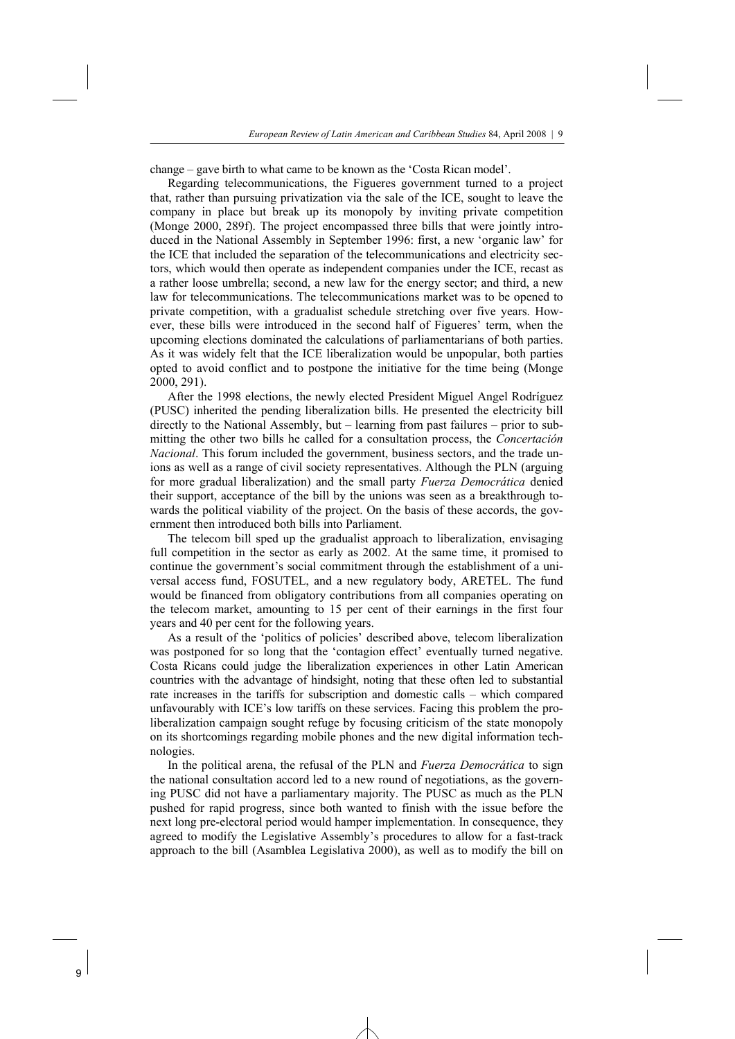change – gave birth to what came to be known as the 'Costa Rican model'.

 Regarding telecommunications, the Figueres government turned to a project that, rather than pursuing privatization via the sale of the ICE, sought to leave the company in place but break up its monopoly by inviting private competition (Monge 2000, 289f). The project encompassed three bills that were jointly introduced in the National Assembly in September 1996: first, a new 'organic law' for the ICE that included the separation of the telecommunications and electricity sectors, which would then operate as independent companies under the ICE, recast as a rather loose umbrella; second, a new law for the energy sector; and third, a new law for telecommunications. The telecommunications market was to be opened to private competition, with a gradualist schedule stretching over five years. However, these bills were introduced in the second half of Figueres' term, when the upcoming elections dominated the calculations of parliamentarians of both parties. As it was widely felt that the ICE liberalization would be unpopular, both parties opted to avoid conflict and to postpone the initiative for the time being (Monge 2000, 291).

 After the 1998 elections, the newly elected President Miguel Angel Rodríguez (PUSC) inherited the pending liberalization bills. He presented the electricity bill directly to the National Assembly, but – learning from past failures – prior to submitting the other two bills he called for a consultation process, the *Concertación Nacional*. This forum included the government, business sectors, and the trade unions as well as a range of civil society representatives. Although the PLN (arguing for more gradual liberalization) and the small party *Fuerza Democrática* denied their support, acceptance of the bill by the unions was seen as a breakthrough towards the political viability of the project. On the basis of these accords, the government then introduced both bills into Parliament.

 The telecom bill sped up the gradualist approach to liberalization, envisaging full competition in the sector as early as 2002. At the same time, it promised to continue the government's social commitment through the establishment of a universal access fund, FOSUTEL, and a new regulatory body, ARETEL. The fund would be financed from obligatory contributions from all companies operating on the telecom market, amounting to 15 per cent of their earnings in the first four years and 40 per cent for the following years.

 As a result of the 'politics of policies' described above, telecom liberalization was postponed for so long that the 'contagion effect' eventually turned negative. Costa Ricans could judge the liberalization experiences in other Latin American countries with the advantage of hindsight, noting that these often led to substantial rate increases in the tariffs for subscription and domestic calls – which compared unfavourably with ICE's low tariffs on these services. Facing this problem the proliberalization campaign sought refuge by focusing criticism of the state monopoly on its shortcomings regarding mobile phones and the new digital information technologies.

 In the political arena, the refusal of the PLN and *Fuerza Democrática* to sign the national consultation accord led to a new round of negotiations, as the governing PUSC did not have a parliamentary majority. The PUSC as much as the PLN pushed for rapid progress, since both wanted to finish with the issue before the next long pre-electoral period would hamper implementation. In consequence, they agreed to modify the Legislative Assembly's procedures to allow for a fast-track approach to the bill (Asamblea Legislativa 2000), as well as to modify the bill on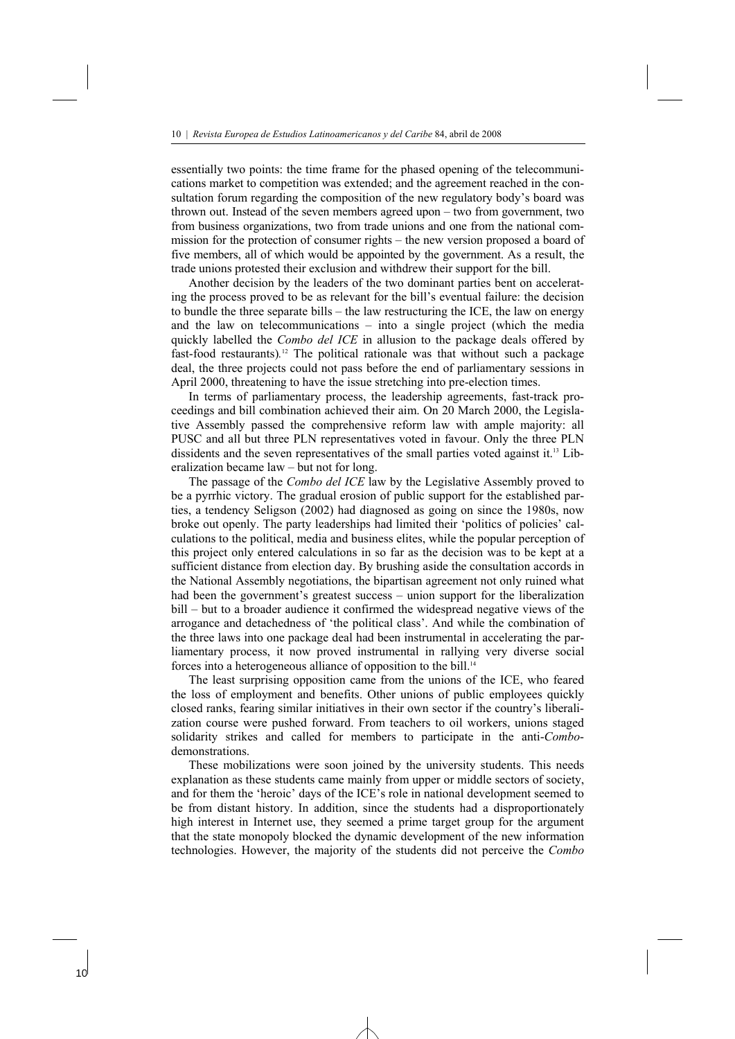essentially two points: the time frame for the phased opening of the telecommunications market to competition was extended; and the agreement reached in the consultation forum regarding the composition of the new regulatory body's board was thrown out. Instead of the seven members agreed upon – two from government, two from business organizations, two from trade unions and one from the national commission for the protection of consumer rights – the new version proposed a board of five members, all of which would be appointed by the government. As a result, the trade unions protested their exclusion and withdrew their support for the bill.

 Another decision by the leaders of the two dominant parties bent on accelerating the process proved to be as relevant for the bill's eventual failure: the decision to bundle the three separate bills – the law restructuring the ICE, the law on energy and the law on telecommunications – into a single project (which the media quickly labelled the *Combo del ICE* in allusion to the package deals offered by fast-food restaurants)*.* 12 The political rationale was that without such a package deal, the three projects could not pass before the end of parliamentary sessions in April 2000, threatening to have the issue stretching into pre-election times.

 In terms of parliamentary process, the leadership agreements, fast-track proceedings and bill combination achieved their aim. On 20 March 2000, the Legislative Assembly passed the comprehensive reform law with ample majority: all PUSC and all but three PLN representatives voted in favour. Only the three PLN dissidents and the seven representatives of the small parties voted against it.13 Liberalization became law – but not for long.

 The passage of the *Combo del ICE* law by the Legislative Assembly proved to be a pyrrhic victory. The gradual erosion of public support for the established parties, a tendency Seligson (2002) had diagnosed as going on since the 1980s, now broke out openly. The party leaderships had limited their 'politics of policies' calculations to the political, media and business elites, while the popular perception of this project only entered calculations in so far as the decision was to be kept at a sufficient distance from election day. By brushing aside the consultation accords in the National Assembly negotiations, the bipartisan agreement not only ruined what had been the government's greatest success – union support for the liberalization bill – but to a broader audience it confirmed the widespread negative views of the arrogance and detachedness of 'the political class'. And while the combination of the three laws into one package deal had been instrumental in accelerating the parliamentary process, it now proved instrumental in rallying very diverse social forces into a heterogeneous alliance of opposition to the bill.14

 The least surprising opposition came from the unions of the ICE, who feared the loss of employment and benefits. Other unions of public employees quickly closed ranks, fearing similar initiatives in their own sector if the country's liberalization course were pushed forward. From teachers to oil workers, unions staged solidarity strikes and called for members to participate in the anti-*Combo*demonstrations.

These mobilizations were soon joined by the university students. This needs explanation as these students came mainly from upper or middle sectors of society, and for them the 'heroic' days of the ICE's role in national development seemed to be from distant history. In addition, since the students had a disproportionately high interest in Internet use, they seemed a prime target group for the argument that the state monopoly blocked the dynamic development of the new information technologies. However, the majority of the students did not perceive the *Combo*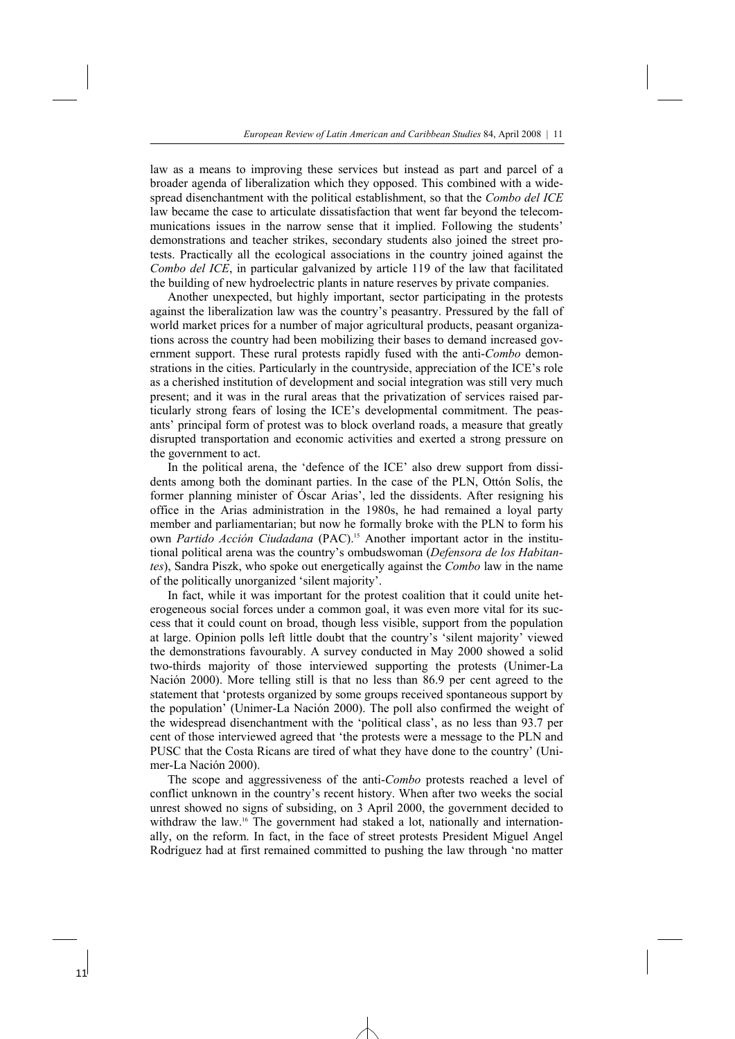law as a means to improving these services but instead as part and parcel of a broader agenda of liberalization which they opposed. This combined with a widespread disenchantment with the political establishment, so that the *Combo del ICE* law became the case to articulate dissatisfaction that went far beyond the telecommunications issues in the narrow sense that it implied. Following the students' demonstrations and teacher strikes, secondary students also joined the street protests. Practically all the ecological associations in the country joined against the *Combo del ICE*, in particular galvanized by article 119 of the law that facilitated the building of new hydroelectric plants in nature reserves by private companies.

 Another unexpected, but highly important, sector participating in the protests against the liberalization law was the country's peasantry. Pressured by the fall of world market prices for a number of major agricultural products, peasant organizations across the country had been mobilizing their bases to demand increased government support. These rural protests rapidly fused with the anti-*Combo* demonstrations in the cities. Particularly in the countryside, appreciation of the ICE's role as a cherished institution of development and social integration was still very much present; and it was in the rural areas that the privatization of services raised particularly strong fears of losing the ICE's developmental commitment. The peasants' principal form of protest was to block overland roads, a measure that greatly disrupted transportation and economic activities and exerted a strong pressure on the government to act.

 In the political arena, the 'defence of the ICE' also drew support from dissidents among both the dominant parties. In the case of the PLN, Ottón Solís, the former planning minister of Óscar Arias', led the dissidents. After resigning his office in the Arias administration in the 1980s, he had remained a loyal party member and parliamentarian; but now he formally broke with the PLN to form his own *Partido Acción Ciudadana* (PAC).<sup>15</sup> Another important actor in the institutional political arena was the country's ombudswoman (*Defensora de los Habitantes*), Sandra Piszk, who spoke out energetically against the *Combo* law in the name of the politically unorganized 'silent majority'.

 In fact, while it was important for the protest coalition that it could unite heterogeneous social forces under a common goal, it was even more vital for its success that it could count on broad, though less visible, support from the population at large. Opinion polls left little doubt that the country's 'silent majority' viewed the demonstrations favourably. A survey conducted in May 2000 showed a solid two-thirds majority of those interviewed supporting the protests (Unimer-La Nación 2000). More telling still is that no less than 86.9 per cent agreed to the statement that 'protests organized by some groups received spontaneous support by the population' (Unimer-La Nación 2000). The poll also confirmed the weight of the widespread disenchantment with the 'political class', as no less than 93.7 per cent of those interviewed agreed that 'the protests were a message to the PLN and PUSC that the Costa Ricans are tired of what they have done to the country' (Unimer-La Nación 2000).

 The scope and aggressiveness of the anti-*Combo* protests reached a level of conflict unknown in the country's recent history. When after two weeks the social unrest showed no signs of subsiding, on 3 April 2000, the government decided to withdraw the law.<sup>16</sup> The government had staked a lot, nationally and internationally, on the reform. In fact, in the face of street protests President Miguel Angel Rodríguez had at first remained committed to pushing the law through 'no matter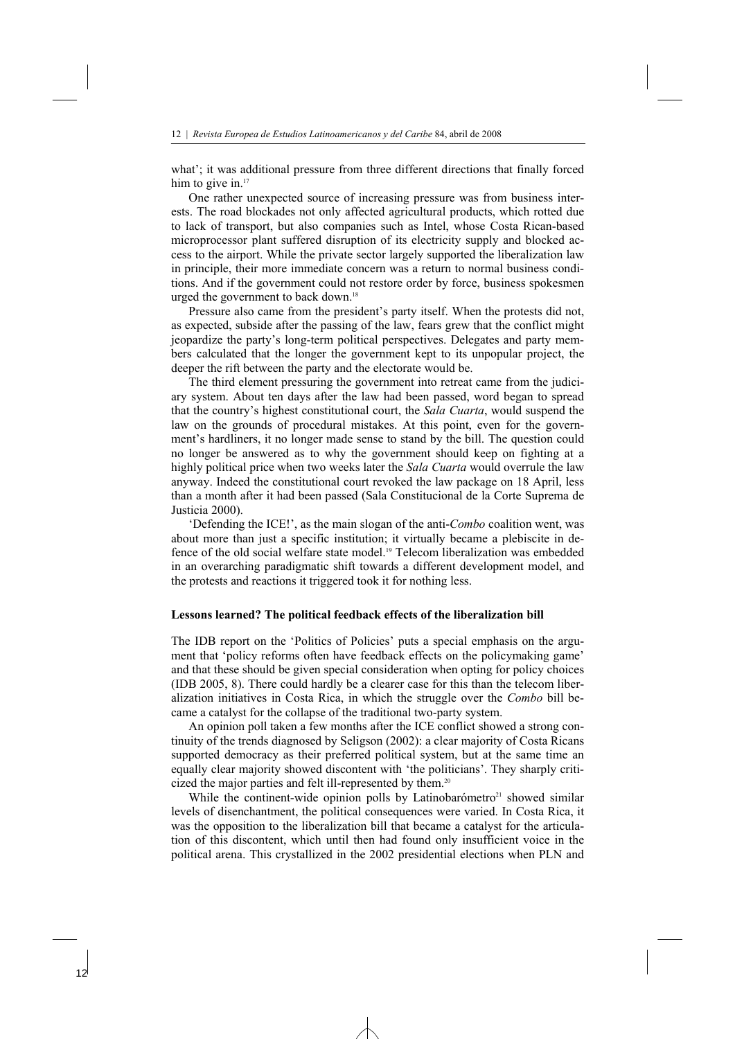what'; it was additional pressure from three different directions that finally forced him to give in. $17$ 

 One rather unexpected source of increasing pressure was from business interests. The road blockades not only affected agricultural products, which rotted due to lack of transport, but also companies such as Intel, whose Costa Rican-based microprocessor plant suffered disruption of its electricity supply and blocked access to the airport. While the private sector largely supported the liberalization law in principle, their more immediate concern was a return to normal business conditions. And if the government could not restore order by force, business spokesmen urged the government to back down.<sup>18</sup>

 Pressure also came from the president's party itself. When the protests did not, as expected, subside after the passing of the law, fears grew that the conflict might jeopardize the party's long-term political perspectives. Delegates and party members calculated that the longer the government kept to its unpopular project, the deeper the rift between the party and the electorate would be.

 The third element pressuring the government into retreat came from the judiciary system. About ten days after the law had been passed, word began to spread that the country's highest constitutional court, the *Sala Cuarta*, would suspend the law on the grounds of procedural mistakes. At this point, even for the government's hardliners, it no longer made sense to stand by the bill. The question could no longer be answered as to why the government should keep on fighting at a highly political price when two weeks later the *Sala Cuarta* would overrule the law anyway. Indeed the constitutional court revoked the law package on 18 April, less than a month after it had been passed (Sala Constitucional de la Corte Suprema de Justicia 2000).

 'Defending the ICE!', as the main slogan of the anti-*Combo* coalition went, was about more than just a specific institution; it virtually became a plebiscite in defence of the old social welfare state model.<sup>19</sup> Telecom liberalization was embedded in an overarching paradigmatic shift towards a different development model, and the protests and reactions it triggered took it for nothing less.

#### **Lessons learned? The political feedback effects of the liberalization bill**

The IDB report on the 'Politics of Policies' puts a special emphasis on the argument that 'policy reforms often have feedback effects on the policymaking game' and that these should be given special consideration when opting for policy choices (IDB 2005, 8). There could hardly be a clearer case for this than the telecom liberalization initiatives in Costa Rica, in which the struggle over the *Combo* bill became a catalyst for the collapse of the traditional two-party system.

 An opinion poll taken a few months after the ICE conflict showed a strong continuity of the trends diagnosed by Seligson (2002): a clear majority of Costa Ricans supported democracy as their preferred political system, but at the same time an equally clear majority showed discontent with 'the politicians'. They sharply criticized the major parties and felt ill-represented by them.20

While the continent-wide opinion polls by Latinobarómetro<sup>21</sup> showed similar levels of disenchantment, the political consequences were varied. In Costa Rica, it was the opposition to the liberalization bill that became a catalyst for the articulation of this discontent, which until then had found only insufficient voice in the political arena. This crystallized in the 2002 presidential elections when PLN and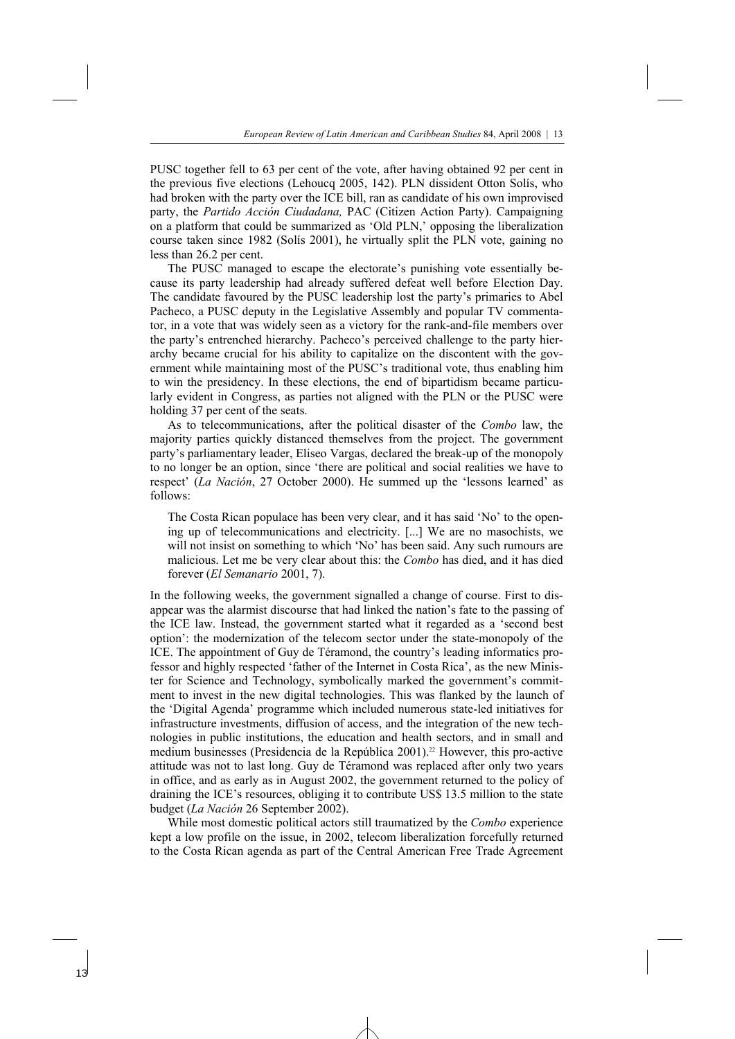PUSC together fell to 63 per cent of the vote, after having obtained 92 per cent in the previous five elections (Lehoucq 2005, 142). PLN dissident Otton Solís, who had broken with the party over the ICE bill, ran as candidate of his own improvised party, the *Partido Acción Ciudadana,* PAC (Citizen Action Party). Campaigning on a platform that could be summarized as 'Old PLN,' opposing the liberalization course taken since 1982 (Solís 2001), he virtually split the PLN vote, gaining no less than 26.2 per cent.

 The PUSC managed to escape the electorate's punishing vote essentially because its party leadership had already suffered defeat well before Election Day. The candidate favoured by the PUSC leadership lost the party's primaries to Abel Pacheco, a PUSC deputy in the Legislative Assembly and popular TV commentator, in a vote that was widely seen as a victory for the rank-and-file members over the party's entrenched hierarchy. Pacheco's perceived challenge to the party hierarchy became crucial for his ability to capitalize on the discontent with the government while maintaining most of the PUSC's traditional vote, thus enabling him to win the presidency. In these elections, the end of bipartidism became particularly evident in Congress, as parties not aligned with the PLN or the PUSC were holding 37 per cent of the seats.

 As to telecommunications, after the political disaster of the *Combo* law, the majority parties quickly distanced themselves from the project. The government party's parliamentary leader, Eliseo Vargas, declared the break-up of the monopoly to no longer be an option, since 'there are political and social realities we have to respect' (*La Nación*, 27 October 2000). He summed up the 'lessons learned' as follows:

The Costa Rican populace has been very clear, and it has said 'No' to the opening up of telecommunications and electricity. [...] We are no masochists, we will not insist on something to which 'No' has been said. Any such rumours are malicious. Let me be very clear about this: the *Combo* has died, and it has died forever (*El Semanario* 2001, 7).

In the following weeks, the government signalled a change of course. First to disappear was the alarmist discourse that had linked the nation's fate to the passing of the ICE law. Instead, the government started what it regarded as a 'second best option': the modernization of the telecom sector under the state-monopoly of the ICE. The appointment of Guy de Téramond, the country's leading informatics professor and highly respected 'father of the Internet in Costa Rica', as the new Minister for Science and Technology, symbolically marked the government's commitment to invest in the new digital technologies. This was flanked by the launch of the 'Digital Agenda' programme which included numerous state-led initiatives for infrastructure investments, diffusion of access, and the integration of the new technologies in public institutions, the education and health sectors, and in small and medium businesses (Presidencia de la República 2001).<sup>22</sup> However, this pro-active attitude was not to last long. Guy de Téramond was replaced after only two years in office, and as early as in August 2002, the government returned to the policy of draining the ICE's resources, obliging it to contribute US\$ 13.5 million to the state budget (*La Nación* 26 September 2002).

 While most domestic political actors still traumatized by the *Combo* experience kept a low profile on the issue, in 2002, telecom liberalization forcefully returned to the Costa Rican agenda as part of the Central American Free Trade Agreement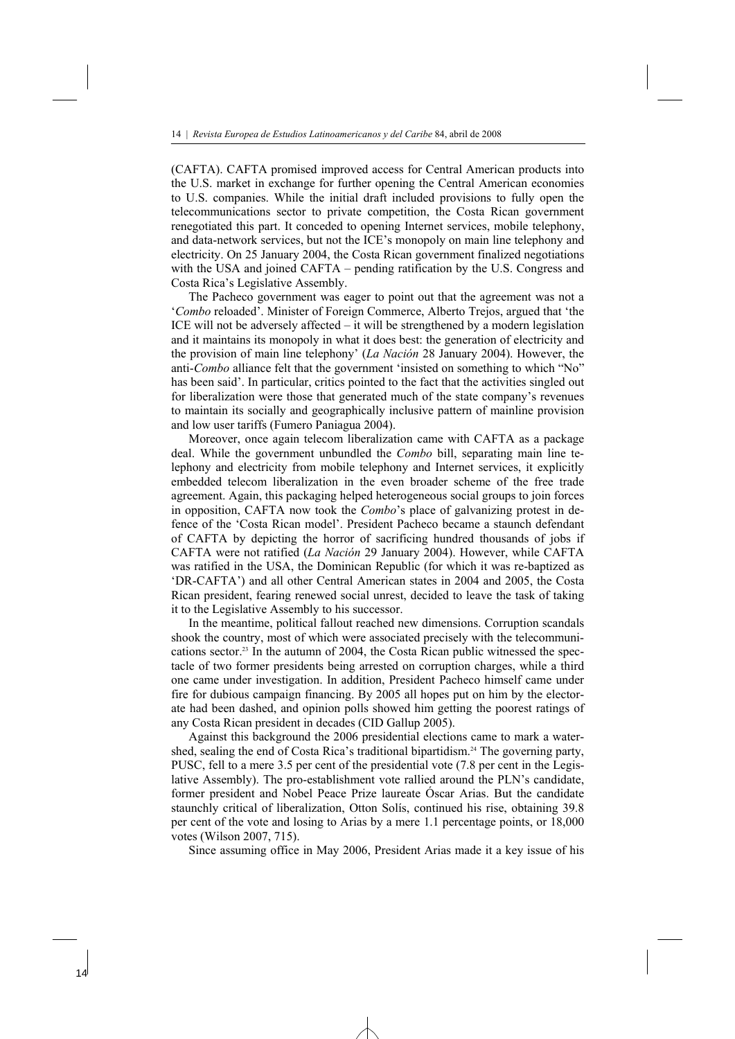(CAFTA). CAFTA promised improved access for Central American products into the U.S. market in exchange for further opening the Central American economies to U.S. companies. While the initial draft included provisions to fully open the telecommunications sector to private competition, the Costa Rican government renegotiated this part. It conceded to opening Internet services, mobile telephony, and data-network services, but not the ICE's monopoly on main line telephony and electricity. On 25 January 2004, the Costa Rican government finalized negotiations with the USA and joined CAFTA – pending ratification by the U.S. Congress and Costa Rica's Legislative Assembly.

 The Pacheco government was eager to point out that the agreement was not a '*Combo* reloaded'. Minister of Foreign Commerce, Alberto Trejos, argued that 'the ICE will not be adversely affected – it will be strengthened by a modern legislation and it maintains its monopoly in what it does best: the generation of electricity and the provision of main line telephony' (*La Nación* 28 January 2004). However, the anti-*Combo* alliance felt that the government 'insisted on something to which "No" has been said'. In particular, critics pointed to the fact that the activities singled out for liberalization were those that generated much of the state company's revenues to maintain its socially and geographically inclusive pattern of mainline provision and low user tariffs (Fumero Paniagua 2004).

 Moreover, once again telecom liberalization came with CAFTA as a package deal. While the government unbundled the *Combo* bill, separating main line telephony and electricity from mobile telephony and Internet services, it explicitly embedded telecom liberalization in the even broader scheme of the free trade agreement. Again, this packaging helped heterogeneous social groups to join forces in opposition, CAFTA now took the *Combo*'s place of galvanizing protest in defence of the 'Costa Rican model'. President Pacheco became a staunch defendant of CAFTA by depicting the horror of sacrificing hundred thousands of jobs if CAFTA were not ratified (*La Nación* 29 January 2004). However, while CAFTA was ratified in the USA, the Dominican Republic (for which it was re-baptized as 'DR-CAFTA') and all other Central American states in 2004 and 2005, the Costa Rican president, fearing renewed social unrest, decided to leave the task of taking it to the Legislative Assembly to his successor.

 In the meantime, political fallout reached new dimensions. Corruption scandals shook the country, most of which were associated precisely with the telecommunications sector.23 In the autumn of 2004, the Costa Rican public witnessed the spectacle of two former presidents being arrested on corruption charges, while a third one came under investigation. In addition, President Pacheco himself came under fire for dubious campaign financing. By 2005 all hopes put on him by the electorate had been dashed, and opinion polls showed him getting the poorest ratings of any Costa Rican president in decades (CID Gallup 2005).

 Against this background the 2006 presidential elections came to mark a watershed, sealing the end of Costa Rica's traditional bipartidism.<sup>24</sup> The governing party, PUSC, fell to a mere 3.5 per cent of the presidential vote (7.8 per cent in the Legislative Assembly). The pro-establishment vote rallied around the PLN's candidate, former president and Nobel Peace Prize laureate Óscar Arias. But the candidate staunchly critical of liberalization, Otton Solís, continued his rise, obtaining 39.8 per cent of the vote and losing to Arias by a mere 1.1 percentage points, or 18,000 votes (Wilson 2007, 715).

Since assuming office in May 2006, President Arias made it a key issue of his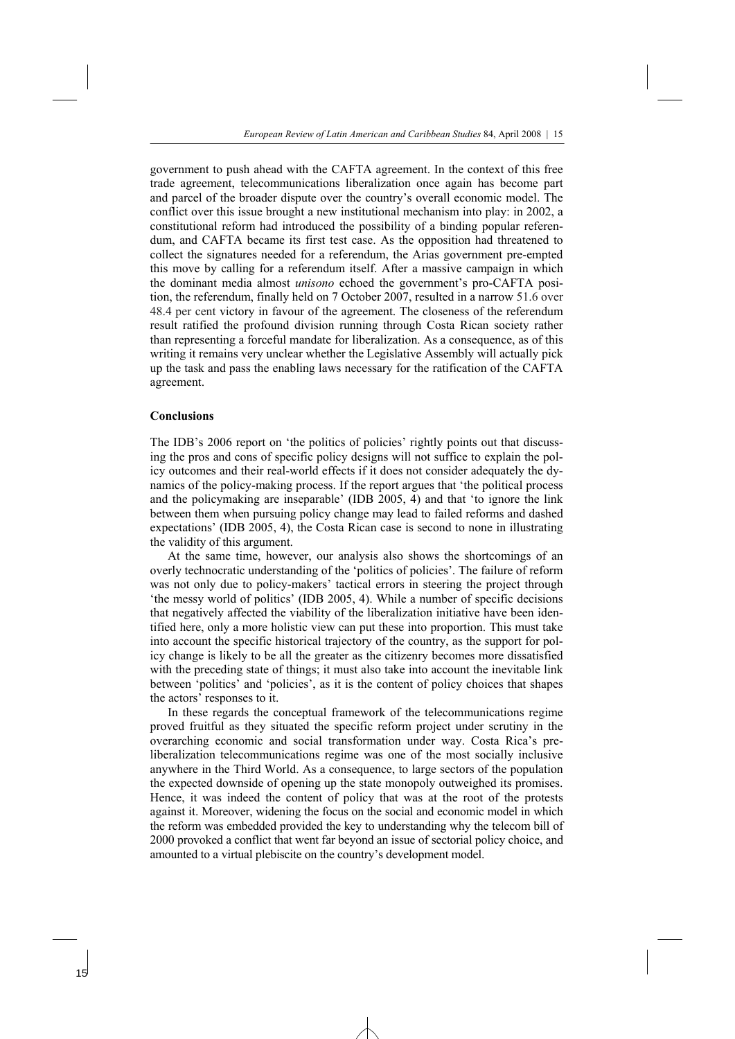government to push ahead with the CAFTA agreement. In the context of this free trade agreement, telecommunications liberalization once again has become part and parcel of the broader dispute over the country's overall economic model. The conflict over this issue brought a new institutional mechanism into play: in 2002, a constitutional reform had introduced the possibility of a binding popular referendum, and CAFTA became its first test case. As the opposition had threatened to collect the signatures needed for a referendum, the Arias government pre-empted this move by calling for a referendum itself. After a massive campaign in which the dominant media almost *unisono* echoed the government's pro-CAFTA position, the referendum, finally held on 7 October 2007, resulted in a narrow 51.6 over 48.4 per cent victory in favour of the agreement. The closeness of the referendum result ratified the profound division running through Costa Rican society rather than representing a forceful mandate for liberalization. As a consequence, as of this writing it remains very unclear whether the Legislative Assembly will actually pick up the task and pass the enabling laws necessary for the ratification of the CAFTA agreement.

#### **Conclusions**

The IDB's 2006 report on 'the politics of policies' rightly points out that discussing the pros and cons of specific policy designs will not suffice to explain the policy outcomes and their real-world effects if it does not consider adequately the dynamics of the policy-making process. If the report argues that 'the political process and the policymaking are inseparable' (IDB 2005, 4) and that 'to ignore the link between them when pursuing policy change may lead to failed reforms and dashed expectations' (IDB 2005, 4), the Costa Rican case is second to none in illustrating the validity of this argument.

 At the same time, however, our analysis also shows the shortcomings of an overly technocratic understanding of the 'politics of policies'. The failure of reform was not only due to policy-makers' tactical errors in steering the project through 'the messy world of politics' (IDB 2005, 4). While a number of specific decisions that negatively affected the viability of the liberalization initiative have been identified here, only a more holistic view can put these into proportion. This must take into account the specific historical trajectory of the country, as the support for policy change is likely to be all the greater as the citizenry becomes more dissatisfied with the preceding state of things; it must also take into account the inevitable link between 'politics' and 'policies', as it is the content of policy choices that shapes the actors' responses to it.

 In these regards the conceptual framework of the telecommunications regime proved fruitful as they situated the specific reform project under scrutiny in the overarching economic and social transformation under way. Costa Rica's preliberalization telecommunications regime was one of the most socially inclusive anywhere in the Third World. As a consequence, to large sectors of the population the expected downside of opening up the state monopoly outweighed its promises. Hence, it was indeed the content of policy that was at the root of the protests against it. Moreover, widening the focus on the social and economic model in which the reform was embedded provided the key to understanding why the telecom bill of 2000 provoked a conflict that went far beyond an issue of sectorial policy choice, and amounted to a virtual plebiscite on the country's development model.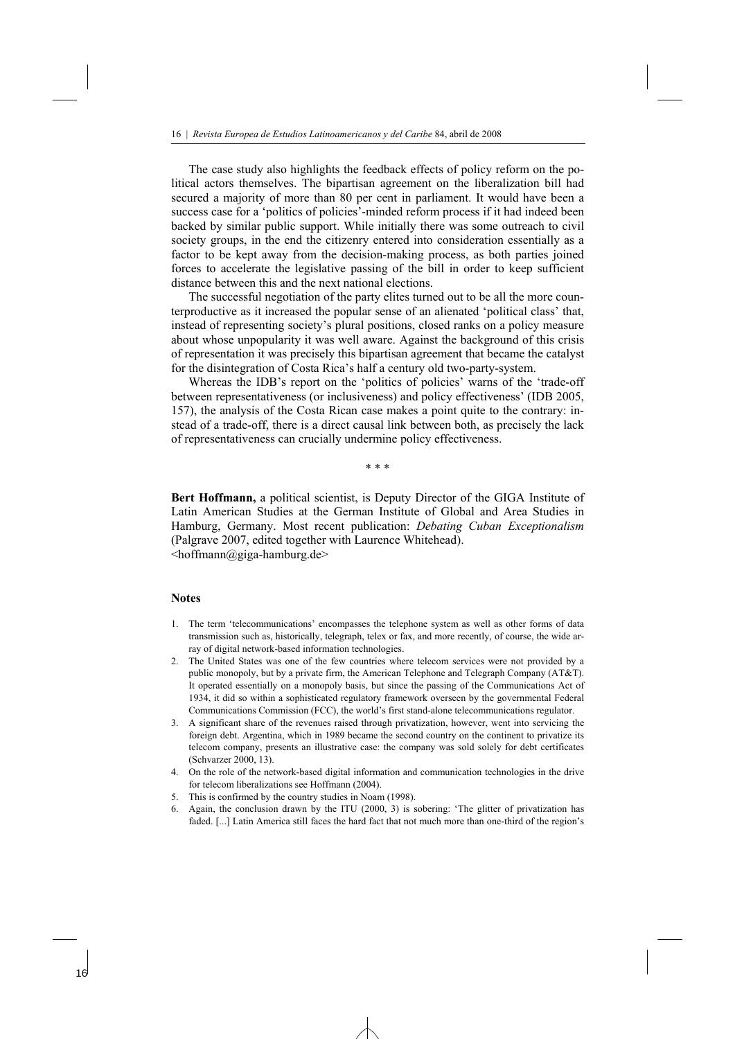The case study also highlights the feedback effects of policy reform on the political actors themselves. The bipartisan agreement on the liberalization bill had secured a majority of more than 80 per cent in parliament. It would have been a success case for a 'politics of policies'-minded reform process if it had indeed been backed by similar public support. While initially there was some outreach to civil society groups, in the end the citizenry entered into consideration essentially as a factor to be kept away from the decision-making process, as both parties joined forces to accelerate the legislative passing of the bill in order to keep sufficient distance between this and the next national elections.

 The successful negotiation of the party elites turned out to be all the more counterproductive as it increased the popular sense of an alienated 'political class' that, instead of representing society's plural positions, closed ranks on a policy measure about whose unpopularity it was well aware. Against the background of this crisis of representation it was precisely this bipartisan agreement that became the catalyst for the disintegration of Costa Rica's half a century old two-party-system.

 Whereas the IDB's report on the 'politics of policies' warns of the 'trade-off between representativeness (or inclusiveness) and policy effectiveness' (IDB 2005, 157), the analysis of the Costa Rican case makes a point quite to the contrary: instead of a trade-off, there is a direct causal link between both, as precisely the lack of representativeness can crucially undermine policy effectiveness.

\* \* \*

**Bert Hoffmann,** a political scientist, is Deputy Director of the GIGA Institute of Latin American Studies at the German Institute of Global and Area Studies in Hamburg, Germany. Most recent publication: *Debating Cuban Exceptionalism* (Palgrave 2007, edited together with Laurence Whitehead).  $\langle \text{hofimann@giga-hamburg.de} \rangle$ 

#### **Notes**

- 1. The term 'telecommunications' encompasses the telephone system as well as other forms of data transmission such as, historically, telegraph, telex or fax, and more recently, of course, the wide array of digital network-based information technologies.
- 2. The United States was one of the few countries where telecom services were not provided by a public monopoly, but by a private firm, the American Telephone and Telegraph Company (AT&T). It operated essentially on a monopoly basis, but since the passing of the Communications Act of 1934, it did so within a sophisticated regulatory framework overseen by the governmental Federal Communications Commission (FCC), the world's first stand-alone telecommunications regulator.
- 3. A significant share of the revenues raised through privatization, however, went into servicing the foreign debt. Argentina, which in 1989 became the second country on the continent to privatize its telecom company, presents an illustrative case: the company was sold solely for debt certificates (Schvarzer 2000, 13).
- 4. On the role of the network-based digital information and communication technologies in the drive for telecom liberalizations see Hoffmann (2004).
- 5. This is confirmed by the country studies in Noam (1998).
- 6. Again, the conclusion drawn by the ITU (2000, 3) is sobering: 'The glitter of privatization has faded. [...] Latin America still faces the hard fact that not much more than one-third of the region's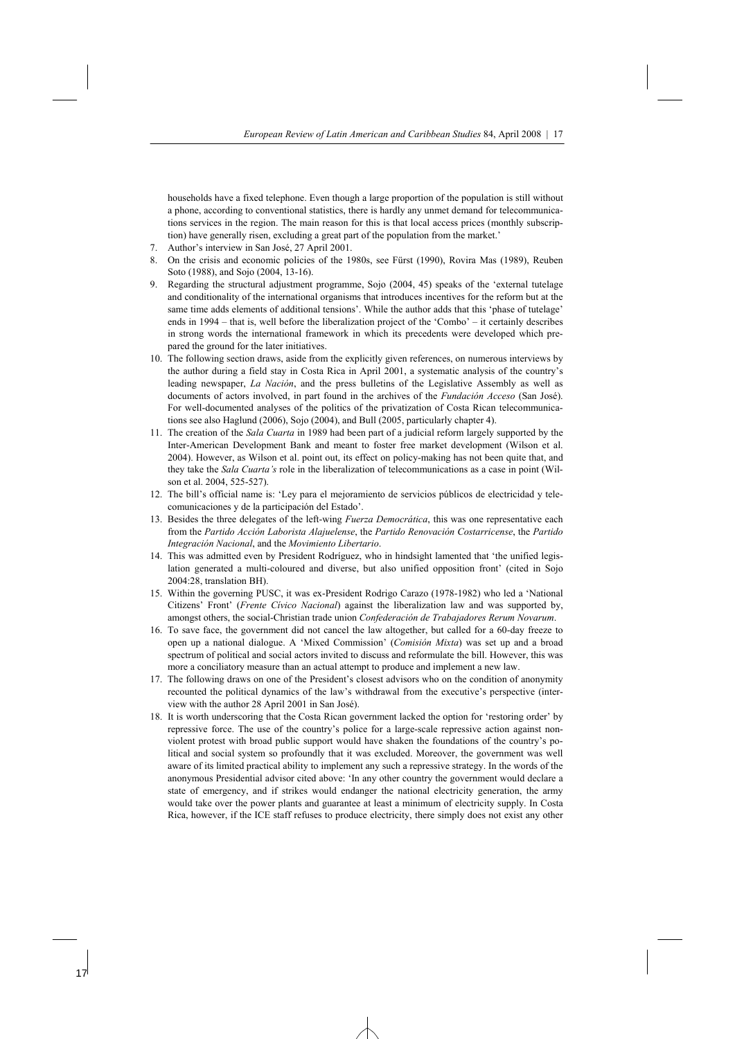households have a fixed telephone. Even though a large proportion of the population is still without a phone, according to conventional statistics, there is hardly any unmet demand for telecommunications services in the region. The main reason for this is that local access prices (monthly subscription) have generally risen, excluding a great part of the population from the market.'

- 7. Author's interview in San José, 27 April 2001.
- 8. On the crisis and economic policies of the 1980s, see Fürst (1990), Rovira Mas (1989), Reuben Soto (1988), and Sojo (2004, 13-16).
- 9. Regarding the structural adjustment programme, Sojo (2004, 45) speaks of the 'external tutelage and conditionality of the international organisms that introduces incentives for the reform but at the same time adds elements of additional tensions'. While the author adds that this 'phase of tutelage' ends in 1994 – that is, well before the liberalization project of the 'Combo' – it certainly describes in strong words the international framework in which its precedents were developed which prepared the ground for the later initiatives.
- 10. The following section draws, aside from the explicitly given references, on numerous interviews by the author during a field stay in Costa Rica in April 2001, a systematic analysis of the country's leading newspaper, *La Nación*, and the press bulletins of the Legislative Assembly as well as documents of actors involved, in part found in the archives of the *Fundación Acceso* (San José). For well-documented analyses of the politics of the privatization of Costa Rican telecommunications see also Haglund (2006), Sojo (2004), and Bull (2005, particularly chapter 4).
- 11. The creation of the *Sala Cuarta* in 1989 had been part of a judicial reform largely supported by the Inter-American Development Bank and meant to foster free market development (Wilson et al. 2004). However, as Wilson et al. point out, its effect on policy-making has not been quite that, and they take the *Sala Cuarta's* role in the liberalization of telecommunications as a case in point (Wilson et al. 2004, 525-527).
- 12. The bill's official name is: 'Ley para el mejoramiento de servicios públicos de electricidad y telecomunicaciones y de la participación del Estado'.
- 13. Besides the three delegates of the left-wing *Fuerza Democrática*, this was one representative each from the *Partido Acción Laborista Alajuelense*, the *Partido Renovación Costarricense*, the *Partido Integración Nacional*, and the *Movimiento Libertario*.
- 14. This was admitted even by President Rodríguez, who in hindsight lamented that 'the unified legislation generated a multi-coloured and diverse, but also unified opposition front' (cited in Sojo 2004:28, translation BH).
- 15. Within the governing PUSC, it was ex-President Rodrigo Carazo (1978-1982) who led a 'National Citizens' Front' (*Frente Cívico Nacional*) against the liberalization law and was supported by, amongst others, the social-Christian trade union *Confederación de Trabajadores Rerum Novarum*.
- 16. To save face, the government did not cancel the law altogether, but called for a 60-day freeze to open up a national dialogue. A 'Mixed Commission' (*Comisión Mixta*) was set up and a broad spectrum of political and social actors invited to discuss and reformulate the bill. However, this was more a conciliatory measure than an actual attempt to produce and implement a new law.
- 17. The following draws on one of the President's closest advisors who on the condition of anonymity recounted the political dynamics of the law's withdrawal from the executive's perspective (interview with the author 28 April 2001 in San José).
- 18. It is worth underscoring that the Costa Rican government lacked the option for 'restoring order' by repressive force. The use of the country's police for a large-scale repressive action against nonviolent protest with broad public support would have shaken the foundations of the country's political and social system so profoundly that it was excluded. Moreover, the government was well aware of its limited practical ability to implement any such a repressive strategy. In the words of the anonymous Presidential advisor cited above: 'In any other country the government would declare a state of emergency, and if strikes would endanger the national electricity generation, the army would take over the power plants and guarantee at least a minimum of electricity supply. In Costa Rica, however, if the ICE staff refuses to produce electricity, there simply does not exist any other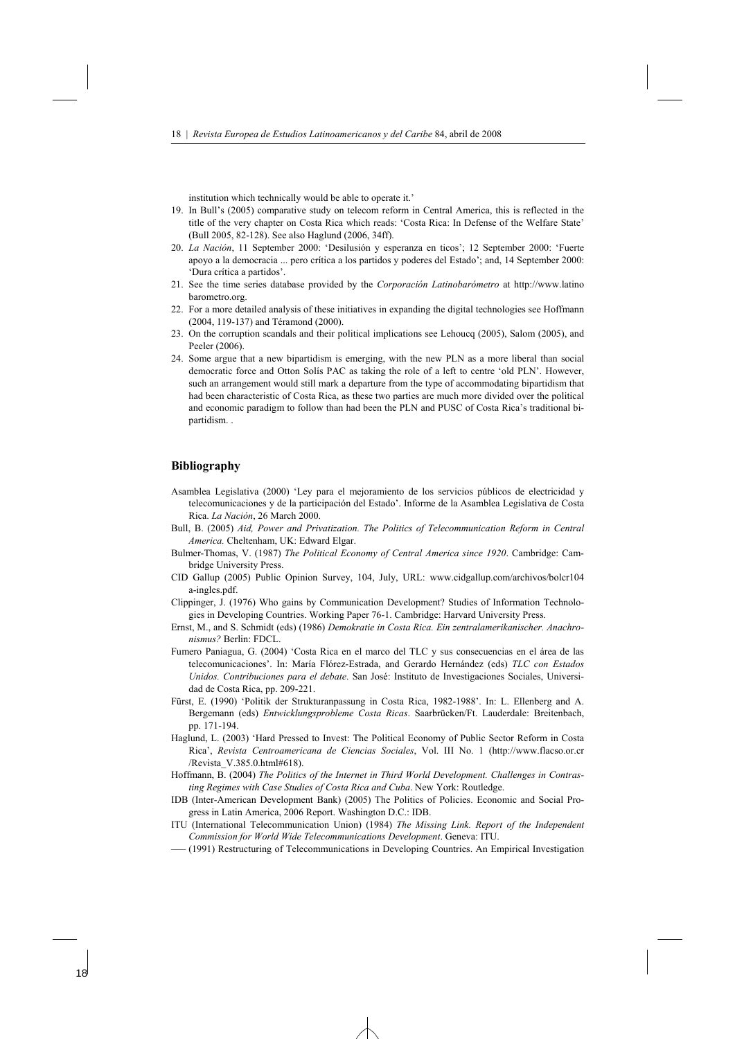institution which technically would be able to operate it.'

- 19. In Bull's (2005) comparative study on telecom reform in Central America, this is reflected in the title of the very chapter on Costa Rica which reads: 'Costa Rica: In Defense of the Welfare State' (Bull 2005, 82-128). See also Haglund (2006, 34ff).
- 20. *La Nación*, 11 September 2000: 'Desilusión y esperanza en ticos'; 12 September 2000: 'Fuerte apoyo a la democracia ... pero crítica a los partidos y poderes del Estado'; and, 14 September 2000: 'Dura crítica a partidos'.
- 21. See the time series database provided by the *Corporación Latinobarómetro* at http://www.latino barometro.org.
- 22. For a more detailed analysis of these initiatives in expanding the digital technologies see Hoffmann (2004, 119-137) and Téramond (2000).
- 23. On the corruption scandals and their political implications see Lehoucq (2005), Salom (2005), and Peeler (2006).
- 24. Some argue that a new bipartidism is emerging, with the new PLN as a more liberal than social democratic force and Otton Solís PAC as taking the role of a left to centre 'old PLN'. However, such an arrangement would still mark a departure from the type of accommodating bipartidism that had been characteristic of Costa Rica, as these two parties are much more divided over the political and economic paradigm to follow than had been the PLN and PUSC of Costa Rica's traditional bipartidism. .

#### **Bibliography**

- Asamblea Legislativa (2000) 'Ley para el mejoramiento de los servicios públicos de electricidad y telecomunicaciones y de la participación del Estado'. Informe de la Asamblea Legislativa de Costa Rica. *La Nación*, 26 March 2000.
- Bull, B. (2005) *Aid, Power and Privatization. The Politics of Telecommunication Reform in Central America.* Cheltenham, UK: Edward Elgar.
- Bulmer-Thomas, V. (1987) *The Political Economy of Central America since 1920*. Cambridge: Cambridge University Press.
- CID Gallup (2005) Public Opinion Survey, 104, July, URL: www.cidgallup.com/archivos/bolcr104 a-ingles.pdf.
- Clippinger, J. (1976) Who gains by Communication Development? Studies of Information Technologies in Developing Countries. Working Paper 76-1. Cambridge: Harvard University Press.
- Ernst, M., and S. Schmidt (eds) (1986) *Demokratie in Costa Rica. Ein zentralamerikanischer. Anachronismus?* Berlin: FDCL.
- Fumero Paniagua, G. (2004) 'Costa Rica en el marco del TLC y sus consecuencias en el área de las telecomunicaciones'. In: María Flórez-Estrada, and Gerardo Hernández (eds) *TLC con Estados Unidos. Contribuciones para el debate*. San José: Instituto de Investigaciones Sociales, Universidad de Costa Rica, pp. 209-221.
- Fürst, E. (1990) 'Politik der Strukturanpassung in Costa Rica, 1982-1988'. In: L. Ellenberg and A. Bergemann (eds) *Entwicklungsprobleme Costa Ricas*. Saarbrücken/Ft. Lauderdale: Breitenbach, pp. 171-194.
- Haglund, L. (2003) 'Hard Pressed to Invest: The Political Economy of Public Sector Reform in Costa Rica', *Revista Centroamericana de Ciencias Sociales*, Vol. III No. 1 (http://www.flacso.or.cr /Revista\_V.385.0.html#618).
- Hoffmann, B. (2004) *The Politics of the Internet in Third World Development. Challenges in Contrasting Regimes with Case Studies of Costa Rica and Cuba*. New York: Routledge.
- IDB (Inter-American Development Bank) (2005) The Politics of Policies. Economic and Social Progress in Latin America, 2006 Report. Washington D.C.: IDB.
- ITU (International Telecommunication Union) (1984) *The Missing Link. Report of the Independent Commission for World Wide Telecommunications Development*. Geneva: ITU.
- ––– (1991) Restructuring of Telecommunications in Developing Countries. An Empirical Investigation